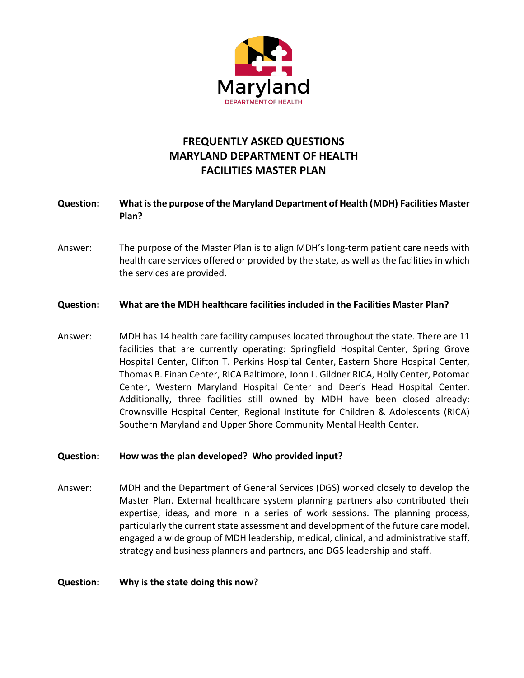

# **FREQUENTLY ASKED QUESTIONS MARYLAND DEPARTMENT OF HEALTH FACILITIES MASTER PLAN**

# **Question: What is the purpose of the Maryland Department of Health (MDH) Facilities Master Plan?**

Answer: The purpose of the Master Plan is to align MDH's long-term patient care needs with health care services offered or provided by the state, as well as the facilities in which the services are provided.

#### **Question: What are the MDH healthcare facilities included in the Facilities Master Plan?**

Answer: MDH has 14 health care facility campuses located throughout the state. There are 11 facilities that are currently operating: Springfield Hospital Center, Spring Grove Hospital Center, Clifton T. Perkins Hospital Center, Eastern Shore Hospital Center, Thomas B. Finan Center, RICA Baltimore, John L. Gildner RICA, Holly Center, Potomac Center, Western Maryland Hospital Center and Deer's Head Hospital Center. Additionally, three facilities still owned by MDH have been closed already: Crownsville Hospital Center, Regional Institute for Children & Adolescents (RICA) Southern Maryland and Upper Shore Community Mental Health Center.

#### **Question: How was the plan developed? Who provided input?**

Answer: MDH and the Department of General Services (DGS) worked closely to develop the Master Plan. External healthcare system planning partners also contributed their expertise, ideas, and more in a series of work sessions. The planning process, particularly the current state assessment and development of the future care model, engaged a wide group of MDH leadership, medical, clinical, and administrative staff, strategy and business planners and partners, and DGS leadership and staff.

#### **Question: Why is the state doing this now?**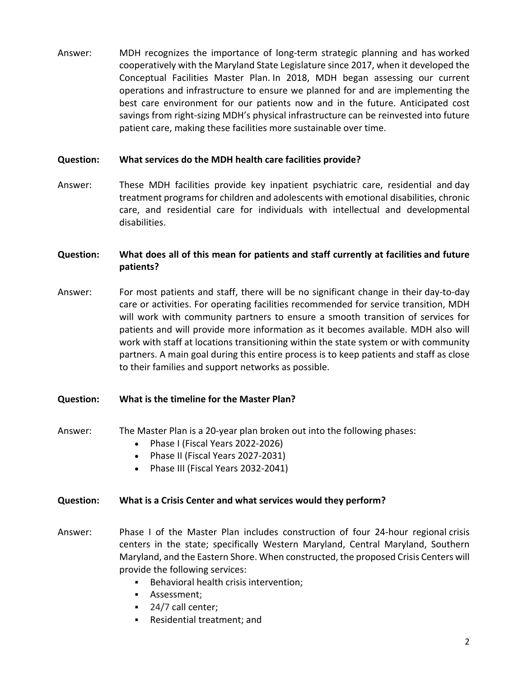Answer: MDH recognizes the importance of long-term strategic planning and has worked cooperatively with the Maryland State Legislature since 2017, when it developed the Conceptual Facilities Master Plan. In 2018, MDH began assessing our current operations and infrastructure to ensure we planned for and are implementing the best care environment for our patients now and in the future. Anticipated cost savings from right-sizing MDH's physical infrastructure can be reinvested into future patient care, making these facilities more sustainable over time.

#### **Question: What services do the MDH health care facilities provide?**

Answer: These MDH facilities provide key inpatient psychiatric care, residential and day treatment programs for children and adolescents with emotional disabilities, chronic care, and residential care for individuals with intellectual and developmental disabilities.

# **Question: What does all of this mean for patients and staff currently at facilities and future patients?**

Answer: For most patients and staff, there will be no significant change in their day-to-day care or activities. For operating facilities recommended for service transition, MDH will work with community partners to ensure a smooth transition of services for patients and will provide more information as it becomes available. MDH also will work with staff at locations transitioning within the state system or with community partners. A main goal during this entire process is to keep patients and staff as close to their families and support networks as possible.

#### **Question: What is the timeline for the Master Plan?**

- Answer: The Master Plan is a 20-year plan broken out into the following phases:
	- Phase I (Fiscal Years 2022-2026)
	- Phase II (Fiscal Years 2027-2031)
	- Phase III (Fiscal Years 2032-2041)

# **Question: What is a Crisis Center and what services would they perform?**

- Answer: Phase I of the Master Plan includes construction of four 24-hour regional crisis centers in the state; specifically Western Maryland, Central Maryland, Southern Maryland, and the Eastern Shore. When constructed, the proposed Crisis Centers will provide the following services:
	- Behavioral health crisis intervention;
	- **•** Assessment:
	- 24/7 call center;
	- § Residential treatment; and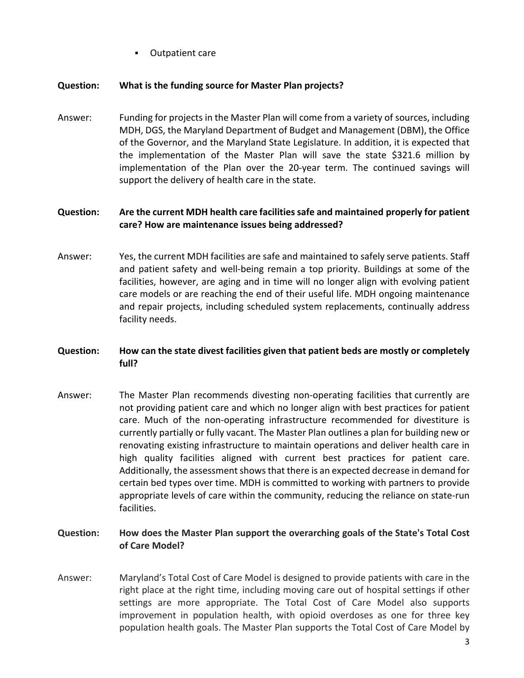§ Outpatient care

#### **Question: What is the funding source for Master Plan projects?**

Answer: Funding for projects in the Master Plan will come from a variety of sources, including MDH, DGS, the Maryland Department of Budget and Management (DBM), the Office of the Governor, and the Maryland State Legislature. In addition, it is expected that the implementation of the Master Plan will save the state \$321.6 million by implementation of the Plan over the 20-year term. The continued savings will support the delivery of health care in the state.

# **Question: Are the current MDH health care facilities safe and maintained properly for patient care? How are maintenance issues being addressed?**

Answer: Yes, the current MDH facilities are safe and maintained to safely serve patients. Staff and patient safety and well-being remain a top priority. Buildings at some of the facilities, however, are aging and in time will no longer align with evolving patient care models or are reaching the end of their useful life. MDH ongoing maintenance and repair projects, including scheduled system replacements, continually address facility needs.

## **Question: How can the state divest facilities given that patient beds are mostly or completely full?**

Answer: The Master Plan recommends divesting non-operating facilities that currently are not providing patient care and which no longer align with best practices for patient care. Much of the non-operating infrastructure recommended for divestiture is currently partially or fully vacant. The Master Plan outlines a plan for building new or renovating existing infrastructure to maintain operations and deliver health care in high quality facilities aligned with current best practices for patient care. Additionally, the assessment shows that there is an expected decrease in demand for certain bed types over time. MDH is committed to working with partners to provide appropriate levels of care within the community, reducing the reliance on state-run facilities.

## **Question: How does the Master Plan support the overarching goals of the State's Total Cost of Care Model?**

Answer: Maryland's Total Cost of Care Model is designed to provide patients with care in the right place at the right time, including moving care out of hospital settings if other settings are more appropriate. The Total Cost of Care Model also supports improvement in population health, with opioid overdoses as one for three key population health goals. The Master Plan supports the Total Cost of Care Model by